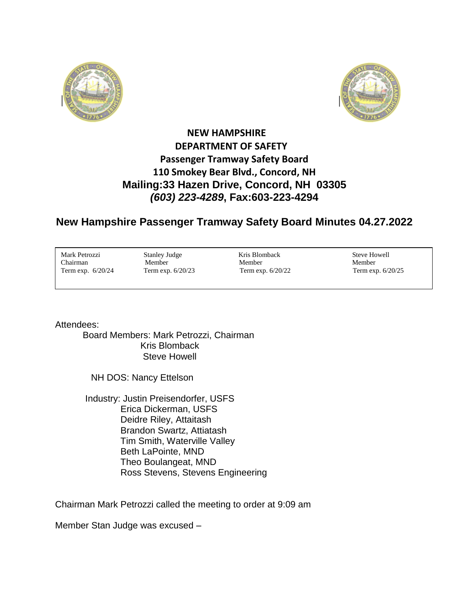



## **NEW HAMPSHIRE DEPARTMENT OF SAFETY Passenger Tramway Safety Board 110 Smokey Bear Blvd., Concord, NH Mailing:33 Hazen Drive, Concord, NH 03305** *(603) 223-4289***, Fax:603-223-4294**

## **New Hampshire Passenger Tramway Safety Board Minutes 04.27.2022**

| Mark Petrozzi       | <b>Stanley Judge</b> | Kris Blomback       | Steve Howell        |
|---------------------|----------------------|---------------------|---------------------|
| Chairman            | Member               | Member              | Member              |
| Term exp. $6/20/24$ | Term exp. $6/20/23$  | Term exp. $6/20/22$ | Term exp. $6/20/25$ |

Attendees:

Board Members: Mark Petrozzi, Chairman Kris Blomback Steve Howell

NH DOS: Nancy Ettelson

Industry: Justin Preisendorfer, USFS Erica Dickerman, USFS Deidre Riley, Attaitash Brandon Swartz, Attiatash Tim Smith, Waterville Valley Beth LaPointe, MND Theo Boulangeat, MND Ross Stevens, Stevens Engineering

Chairman Mark Petrozzi called the meeting to order at 9:09 am

Member Stan Judge was excused –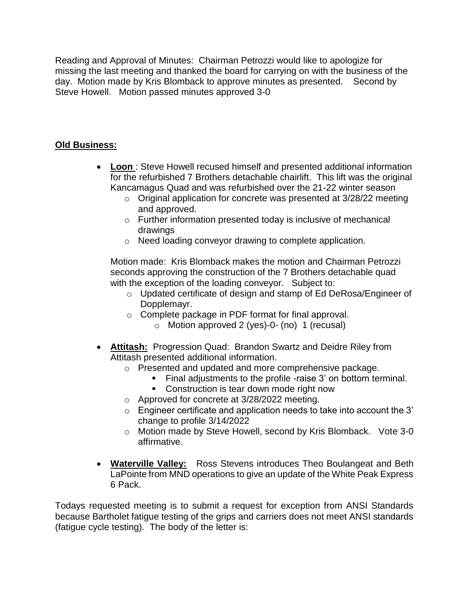Reading and Approval of Minutes: Chairman Petrozzi would like to apologize for missing the last meeting and thanked the board for carrying on with the business of the day. Motion made by Kris Blomback to approve minutes as presented. Second by Steve Howell. Motion passed minutes approved 3-0

## **Old Business:**

- **Loon** : Steve Howell recused himself and presented additional information for the refurbished 7 Brothers detachable chairlift. This lift was the original Kancamagus Quad and was refurbished over the 21-22 winter season
	- $\circ$  Original application for concrete was presented at 3/28/22 meeting and approved.
	- o Further information presented today is inclusive of mechanical drawings
	- o Need loading conveyor drawing to complete application.

Motion made: Kris Blomback makes the motion and Chairman Petrozzi seconds approving the construction of the 7 Brothers detachable quad with the exception of the loading conveyor. Subject to:

- o Updated certificate of design and stamp of Ed DeRosa/Engineer of Dopplemayr.
- o Complete package in PDF format for final approval.
	- o Motion approved 2 (yes)-0- (no) 1 (recusal)
- **Attitash:** Progression Quad: Brandon Swartz and Deidre Riley from Attitash presented additional information.
	- o Presented and updated and more comprehensive package.
		- Final adjustments to the profile -raise 3' on bottom terminal.
		- **Construction is tear down mode right now**
	- o Approved for concrete at 3/28/2022 meeting.
	- o Engineer certificate and application needs to take into account the 3' change to profile 3/14/2022
	- o Motion made by Steve Howell, second by Kris Blomback. Vote 3-0 affirmative.
- **Waterville Valley:** Ross Stevens introduces Theo Boulangeat and Beth LaPointe from MND operations to give an update of the White Peak Express 6 Pack.

Todays requested meeting is to submit a request for exception from ANSI Standards because Bartholet fatigue testing of the grips and carriers does not meet ANSI standards (fatigue cycle testing). The body of the letter is: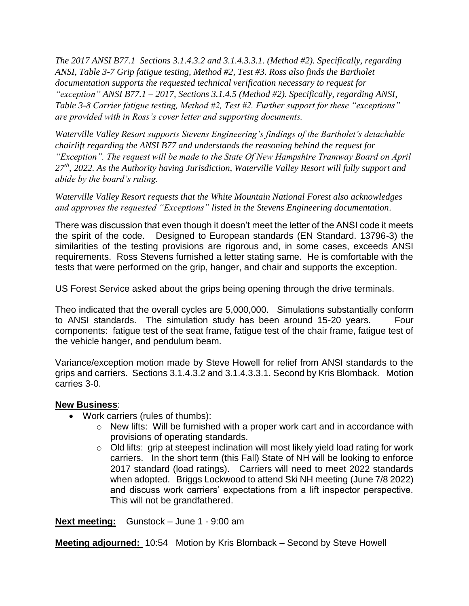*The 2017 ANSI B77.1 Sections 3.1.4.3.2 and 3.1.4.3.3.1. (Method #2). Specifically, regarding ANSI, Table 3-7 Grip fatigue testing, Method #2, Test #3. Ross also finds the Bartholet documentation supports the requested technical verification necessary to request for "exception" ANSI B77.1 – 2017, Sections 3.1.4.5 (Method #2). Specifically, regarding ANSI, Table 3-8 Carrier fatigue testing, Method #2, Test #2. Further support for these "exceptions" are provided with in Ross's cover letter and supporting documents.* 

*Waterville Valley Resort supports Stevens Engineering's findings of the Bartholet's detachable chairlift regarding the ANSI B77 and understands the reasoning behind the request for "Exception". The request will be made to the State Of New Hampshire Tramway Board on April 27th , 2022. As the Authority having Jurisdiction, Waterville Valley Resort will fully support and abide by the board's ruling.* 

*Waterville Valley Resort requests that the White Mountain National Forest also acknowledges and approves the requested "Exceptions" listed in the Stevens Engineering documentation*.

There was discussion that even though it doesn't meet the letter of the ANSI code it meets the spirit of the code. Designed to European standards (EN Standard. 13796-3) the similarities of the testing provisions are rigorous and, in some cases, exceeds ANSI requirements. Ross Stevens furnished a letter stating same. He is comfortable with the tests that were performed on the grip, hanger, and chair and supports the exception.

US Forest Service asked about the grips being opening through the drive terminals.

Theo indicated that the overall cycles are 5,000,000. Simulations substantially conform to ANSI standards. The simulation study has been around 15-20 years. Four components: fatigue test of the seat frame, fatigue test of the chair frame, fatigue test of the vehicle hanger, and pendulum beam.

Variance/exception motion made by Steve Howell for relief from ANSI standards to the grips and carriers. Sections 3.1.4.3.2 and 3.1.4.3.3.1. Second by Kris Blomback. Motion carries 3-0.

## **New Business**:

- Work carriers (rules of thumbs):
	- o New lifts: Will be furnished with a proper work cart and in accordance with provisions of operating standards.
	- o Old lifts: grip at steepest inclination will most likely yield load rating for work carriers. In the short term (this Fall) State of NH will be looking to enforce 2017 standard (load ratings). Carriers will need to meet 2022 standards when adopted. Briggs Lockwood to attend Ski NH meeting (June 7/8 2022) and discuss work carriers' expectations from a lift inspector perspective. This will not be grandfathered.

**Next meeting:** Gunstock – June 1 - 9:00 am

**Meeting adjourned:** 10:54 Motion by Kris Blomback – Second by Steve Howell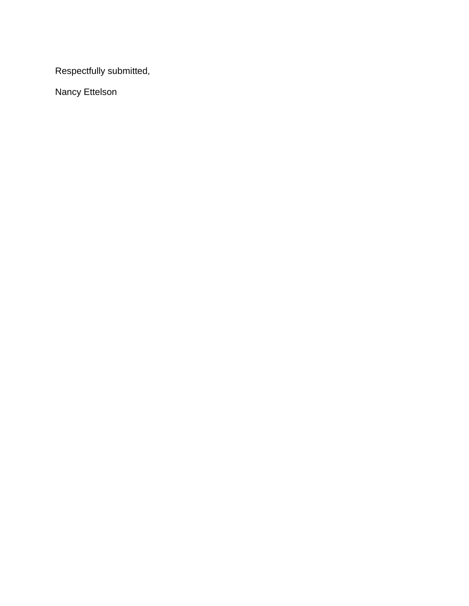Respectfully submitted,

Nancy Ettelson